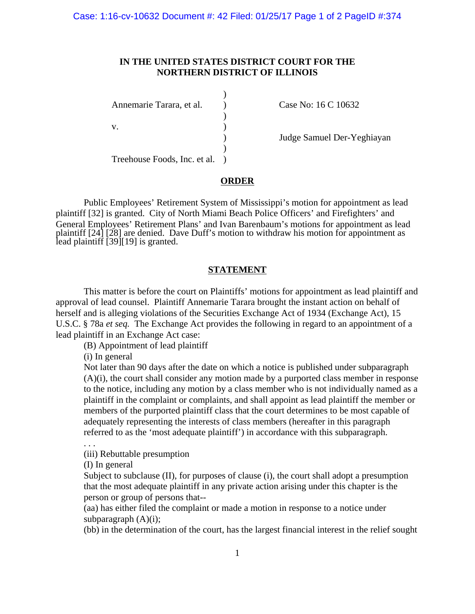## **IN THE UNITED STATES DISTRICT COURT FOR THE NORTHERN DISTRICT OF ILLINOIS**

)

 $\lambda$ 

 $)$ Annemarie Tarara, et al. (a) Case No: 16 C 10632  $\mathbf{v}$ .  $\qquad \qquad$  )

) Judge Samuel Der-Yeghiayan

Treehouse Foods, Inc. et al. )

## **ORDER**

Public Employees' Retirement System of Mississippi's motion for appointment as lead plaintiff [32] is granted. City of North Miami Beach Police Officers' and Firefighters' and General Employees' Retirement Plans' and Ivan Barenbaum's motions for appointment as lead plaintiff [24] [28] are denied. Dave Duff's motion to withdraw his motion for appointment as lead plaintiff [39][19] is granted.

## **STATEMENT**

This matter is before the court on Plaintiffs' motions for appointment as lead plaintiff and approval of lead counsel. Plaintiff Annemarie Tarara brought the instant action on behalf of herself and is alleging violations of the Securities Exchange Act of 1934 (Exchange Act), 15 U.S.C. § 78a *et seq.* The Exchange Act provides the following in regard to an appointment of a lead plaintiff in an Exchange Act case:

(B) Appointment of lead plaintiff

(i) In general

Not later than 90 days after the date on which a notice is published under subparagraph (A)(i), the court shall consider any motion made by a purported class member in response to the notice, including any motion by a class member who is not individually named as a plaintiff in the complaint or complaints, and shall appoint as lead plaintiff the member or members of the purported plaintiff class that the court determines to be most capable of adequately representing the interests of class members (hereafter in this paragraph referred to as the 'most adequate plaintiff') in accordance with this subparagraph.

. . .

(iii) Rebuttable presumption

(I) In general

Subject to subclause (II), for purposes of clause (i), the court shall adopt a presumption that the most adequate plaintiff in any private action arising under this chapter is the person or group of persons that--

(aa) has either filed the complaint or made a motion in response to a notice under subparagraph  $(A)(i)$ ;

(bb) in the determination of the court, has the largest financial interest in the relief sought